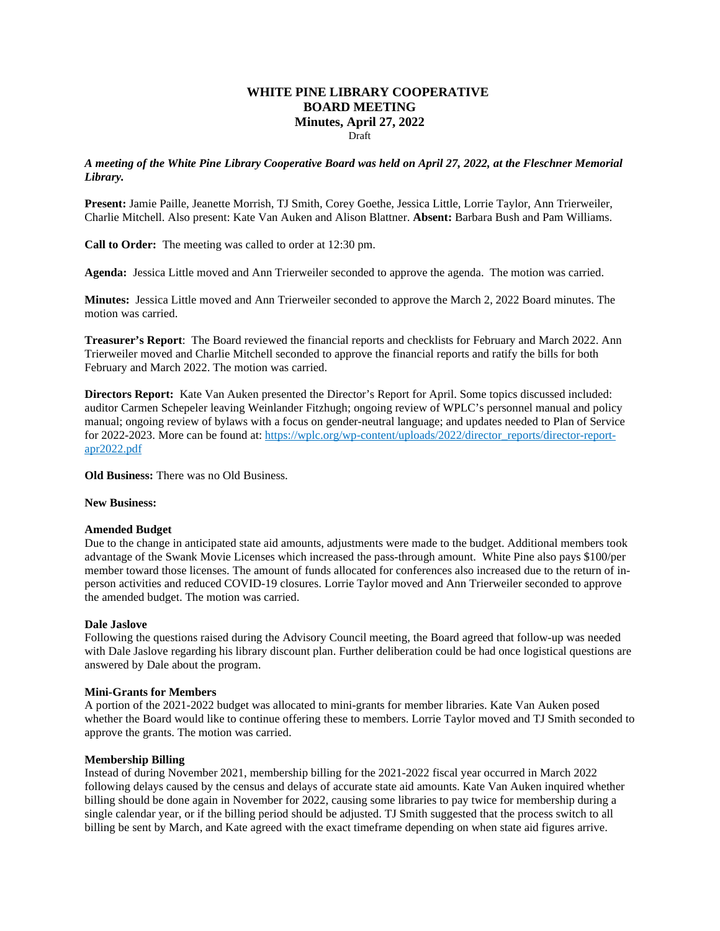# **WHITE PINE LIBRARY COOPERATIVE BOARD MEETING Minutes, April 27, 2022**

Draft

*A meeting of the White Pine Library Cooperative Board was held on April 27, 2022, at the Fleschner Memorial Library.* 

**Present:** Jamie Paille, Jeanette Morrish, TJ Smith, Corey Goethe, Jessica Little, Lorrie Taylor, Ann Trierweiler, Charlie Mitchell. Also present: Kate Van Auken and Alison Blattner. **Absent:** Barbara Bush and Pam Williams.

**Call to Order:** The meeting was called to order at 12:30 pm.

**Agenda:** Jessica Little moved and Ann Trierweiler seconded to approve the agenda. The motion was carried.

**Minutes:** Jessica Little moved and Ann Trierweiler seconded to approve the March 2, 2022 Board minutes. The motion was carried.

**Treasurer's Report**: The Board reviewed the financial reports and checklists for February and March 2022. Ann Trierweiler moved and Charlie Mitchell seconded to approve the financial reports and ratify the bills for both February and March 2022. The motion was carried.

**Directors Report:** Kate Van Auken presented the Director's Report for April. Some topics discussed included: auditor Carmen Schepeler leaving Weinlander Fitzhugh; ongoing review of WPLC's personnel manual and policy manual; ongoing review of bylaws with a focus on gender-neutral language; and updates needed to Plan of Service for 2022-2023. More can be found at: https://wplc.org/wp-content/uploads/2022/director-reports/director-report[apr2022.pdf](https://wplc.org/wp-content/uploads/2022/director_reports/director-report-apr2022.pdf)

**Old Business:** There was no Old Business.

**New Business:**

## **Amended Budget**

Due to the change in anticipated state aid amounts, adjustments were made to the budget. Additional members took advantage of the Swank Movie Licenses which increased the pass-through amount. White Pine also pays \$100/per member toward those licenses. The amount of funds allocated for conferences also increased due to the return of inperson activities and reduced COVID-19 closures. Lorrie Taylor moved and Ann Trierweiler seconded to approve the amended budget. The motion was carried.

#### **Dale Jaslove**

Following the questions raised during the Advisory Council meeting, the Board agreed that follow-up was needed with Dale Jaslove regarding his library discount plan. Further deliberation could be had once logistical questions are answered by Dale about the program.

#### **Mini-Grants for Members**

A portion of the 2021-2022 budget was allocated to mini-grants for member libraries. Kate Van Auken posed whether the Board would like to continue offering these to members. Lorrie Taylor moved and TJ Smith seconded to approve the grants. The motion was carried.

## **Membership Billing**

Instead of during November 2021, membership billing for the 2021-2022 fiscal year occurred in March 2022 following delays caused by the census and delays of accurate state aid amounts. Kate Van Auken inquired whether billing should be done again in November for 2022, causing some libraries to pay twice for membership during a single calendar year, or if the billing period should be adjusted. TJ Smith suggested that the process switch to all billing be sent by March, and Kate agreed with the exact timeframe depending on when state aid figures arrive.